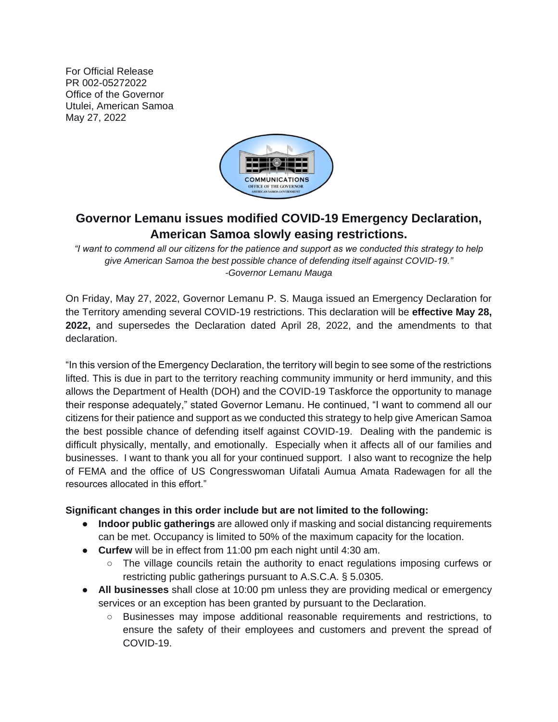For Official Release PR 002-05272022 Office of the Governor Utulei, American Samoa May 27, 2022



## **Governor Lemanu issues modified COVID-19 Emergency Declaration, American Samoa slowly easing restrictions.**

*"I want to commend all our citizens for the patience and support as we conducted this strategy to help give American Samoa the best possible chance of defending itself against COVID-19." -Governor Lemanu Mauga* 

On Friday, May 27, 2022, Governor Lemanu P. S. Mauga issued an Emergency Declaration for the Territory amending several COVID-19 restrictions. This declaration will be **effective May 28, 2022,** and supersedes the Declaration dated April 28, 2022, and the amendments to that declaration.

"In this version of the Emergency Declaration, the territory will begin to see some of the restrictions lifted. This is due in part to the territory reaching community immunity or herd immunity, and this allows the Department of Health (DOH) and the COVID-19 Taskforce the opportunity to manage their response adequately," stated Governor Lemanu. He continued, "I want to commend all our citizens for their patience and support as we conducted this strategy to help give American Samoa the best possible chance of defending itself against COVID-19. Dealing with the pandemic is difficult physically, mentally, and emotionally. Especially when it affects all of our families and businesses. I want to thank you all for your continued support. I also want to recognize the help of FEMA and the office of US Congresswoman Uifatali Aumua Amata Radewagen for all the resources allocated in this effort."

## **Significant changes in this order include but are not limited to the following:**

- **Indoor public gatherings** are allowed only if masking and social distancing requirements can be met. Occupancy is limited to 50% of the maximum capacity for the location.
- **Curfew** will be in effect from 11:00 pm each night until 4:30 am.
	- The village councils retain the authority to enact regulations imposing curfews or restricting public gatherings pursuant to A.S.C.A. § 5.0305.
- **All businesses** shall close at 10:00 pm unless they are providing medical or emergency services or an exception has been granted by pursuant to the Declaration.
	- Businesses may impose additional reasonable requirements and restrictions, to ensure the safety of their employees and customers and prevent the spread of COVID-19.